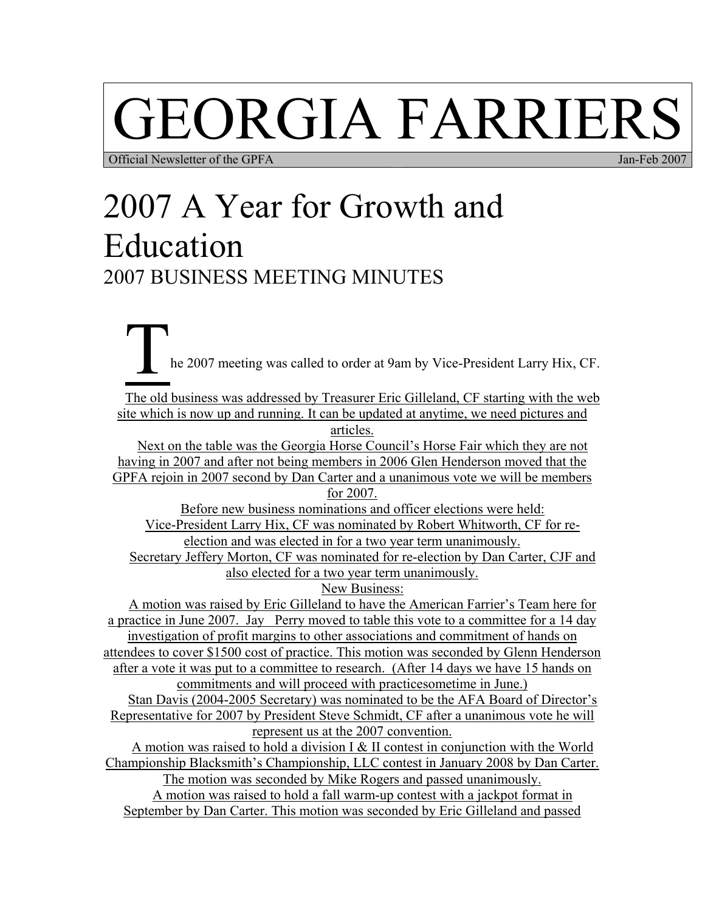# GEORGIA FARRIERS

Official Newsletter of the GPFA Jan-Feb 2007

# 2007 A Year for Growth and Education 2007 BUSINESS MEETING MINUTES

he 2007 meeting was called to order at 9am by Vice-President Larry Hix, CF. The old business was addressed by Treasurer Eric Gilleland, CF starting with the web site which is now up and running. It can be updated at anytime, we need pictures and articles. Next on the table was the Georgia Horse Council's Horse Fair which they are not having in 2007 and after not being members in 2006 Glen Henderson moved that the GPFA rejoin in 2007 second by Dan Carter and a unanimous vote we will be members for 2007. Before new business nominations and officer elections were held: Vice-President Larry Hix, CF was nominated by Robert Whitworth, CF for reelection and was elected in for a two year term unanimously. Secretary Jeffery Morton, CF was nominated for re-election by Dan Carter, CJF and also elected for a two year term unanimously. New Business: A motion was raised by Eric Gilleland to have the American Farrier's Team here for a practice in June 2007. Jay Perry moved to table this vote to a committee for a 14 day investigation of profit margins to other associations and commitment of hands on attendees to cover \$1500 cost of practice. This motion was seconded by Glenn Henderson after a vote it was put to a committee to research. (After 14 days we have 15 hands on commitments and will proceed with practicesometime in June.) Stan Davis (2004-2005 Secretary) was nominated to be the AFA Board of Director's Representative for 2007 by President Steve Schmidt, CF after a unanimous vote he will represent us at the 2007 convention. A motion was raised to hold a division I & II contest in conjunction with the World Championship Blacksmith's Championship, LLC contest in January 2008 by Dan Carter. The motion was seconded by Mike Rogers and passed unanimously. A motion was raised to hold a fall warm-up contest with a jackpot format in September by Dan Carter. This motion was seconded by Eric Gilleland and passed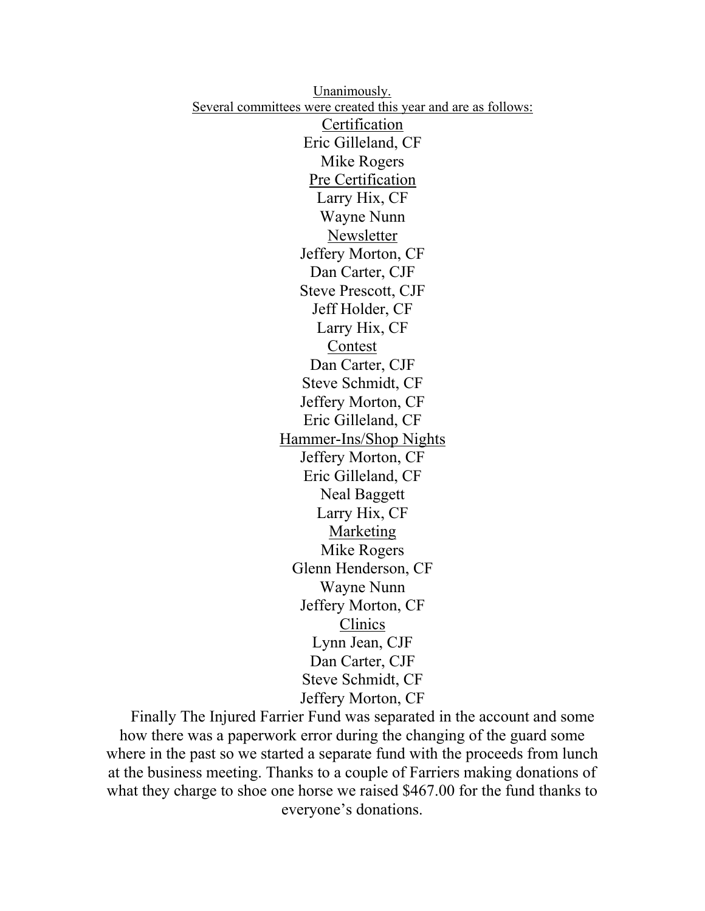Unanimously. Several committees were created this year and are as follows: Certification Eric Gilleland, CF Mike Rogers Pre Certification Larry Hix, CF Wayne Nunn Newsletter Jeffery Morton, CF Dan Carter, CJF Steve Prescott, CJF Jeff Holder, CF Larry Hix, CF Contest Dan Carter, CJF Steve Schmidt, CF Jeffery Morton, CF Eric Gilleland, CF Hammer-Ins/Shop Nights Jeffery Morton, CF Eric Gilleland, CF Neal Baggett Larry Hix, CF Marketing Mike Rogers Glenn Henderson, CF Wayne Nunn Jeffery Morton, CF Clinics Lynn Jean, CJF Dan Carter, CJF Steve Schmidt, CF Jeffery Morton, CF

Finally The Injured Farrier Fund was separated in the account and some how there was a paperwork error during the changing of the guard some where in the past so we started a separate fund with the proceeds from lunch at the business meeting. Thanks to a couple of Farriers making donations of what they charge to shoe one horse we raised \$467.00 for the fund thanks to everyone's donations.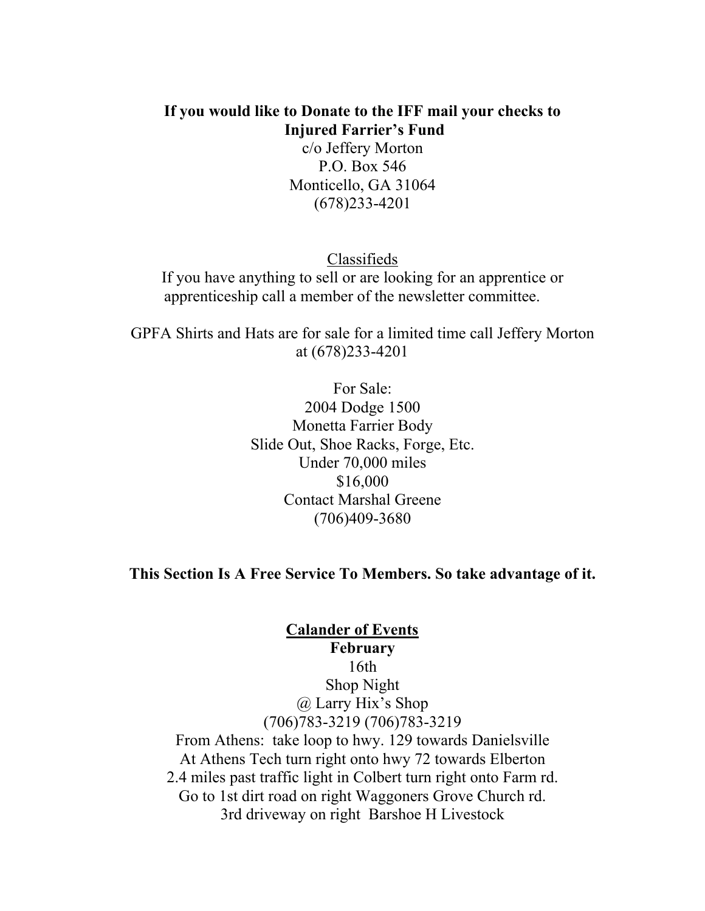#### **If you would like to Donate to the IFF mail your checks to Injured Farrier's Fund**

c/o Jeffery Morton P.O. Box 546 Monticello, GA 31064 (678)233-4201

Classifieds If you have anything to sell or are looking for an apprentice or apprenticeship call a member of the newsletter committee.

GPFA Shirts and Hats are for sale for a limited time call Jeffery Morton at (678)233-4201

> For Sale: 2004 Dodge 1500 Monetta Farrier Body Slide Out, Shoe Racks, Forge, Etc. Under 70,000 miles \$16,000 Contact Marshal Greene (706)409-3680

#### **This Section Is A Free Service To Members. So take advantage of it.**

#### **Calander of Events February**

16th Shop Night @ Larry Hix's Shop (706)783-3219 (706)783-3219 From Athens: take loop to hwy. 129 towards Danielsville At Athens Tech turn right onto hwy 72 towards Elberton 2.4 miles past traffic light in Colbert turn right onto Farm rd. Go to 1st dirt road on right Waggoners Grove Church rd. 3rd driveway on right Barshoe H Livestock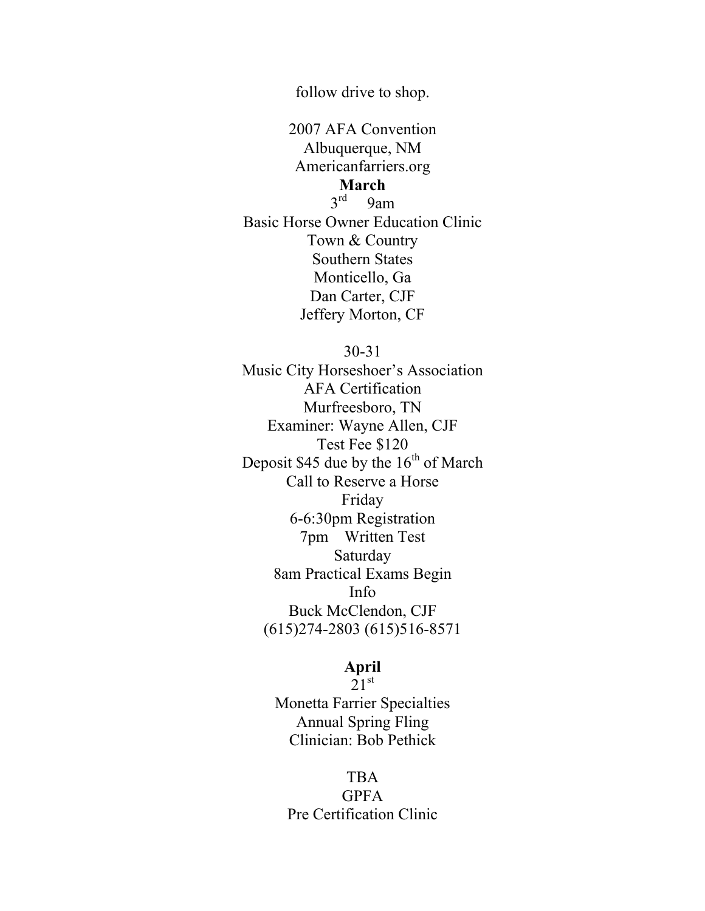follow drive to shop.

2007 AFA Convention Albuquerque, NM Americanfarriers.org **March**<br>3<sup>rd</sup> 9an 9am Basic Horse Owner Education Clinic Town & Country Southern States Monticello, Ga Dan Carter, CJF Jeffery Morton, CF

30-31

Music City Horseshoer's Association AFA Certification Murfreesboro, TN Examiner: Wayne Allen, CJF Test Fee \$120 Deposit  $$45$  due by the  $16<sup>th</sup>$  of March Call to Reserve a Horse Friday 6-6:30pm Registration 7pm Written Test Saturday 8am Practical Exams Begin Info Buck McClendon, CJF (615)274-2803 (615)516-8571

# **April**

 $21^{\rm st}$ Monetta Farrier Specialties Annual Spring Fling Clinician: Bob Pethick

#### TBA

**GPFA** Pre Certification Clinic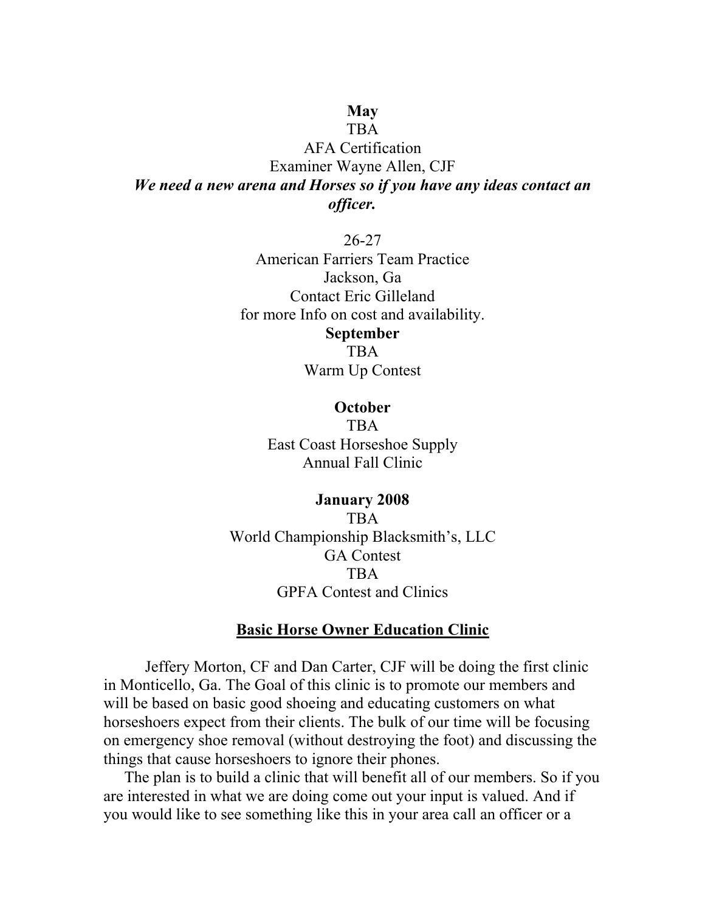**May** 

TBA AFA Certification Examiner Wayne Allen, CJF *We need a new arena and Horses so if you have any ideas contact an officer.*

> 26-27 American Farriers Team Practice Jackson, Ga Contact Eric Gilleland for more Info on cost and availability. **September**  TBA

Warm Up Contest

#### **October**

TBA East Coast Horseshoe Supply Annual Fall Clinic

### **January 2008** TBA World Championship Blacksmith's, LLC GA Contest **TRA** GPFA Contest and Clinics

#### **Basic Horse Owner Education Clinic**

 Jeffery Morton, CF and Dan Carter, CJF will be doing the first clinic in Monticello, Ga. The Goal of this clinic is to promote our members and will be based on basic good shoeing and educating customers on what horseshoers expect from their clients. The bulk of our time will be focusing on emergency shoe removal (without destroying the foot) and discussing the things that cause horseshoers to ignore their phones.

The plan is to build a clinic that will benefit all of our members. So if you are interested in what we are doing come out your input is valued. And if you would like to see something like this in your area call an officer or a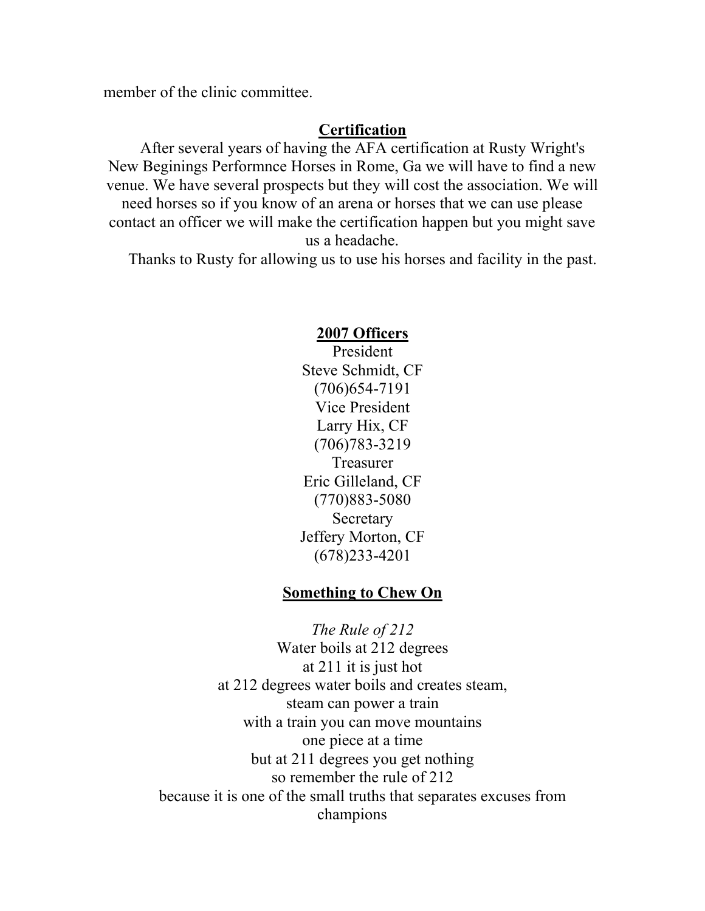member of the clinic committee.

#### **Certification**

After several years of having the AFA certification at Rusty Wright's New Beginings Performnce Horses in Rome, Ga we will have to find a new venue. We have several prospects but they will cost the association. We will need horses so if you know of an arena or horses that we can use please contact an officer we will make the certification happen but you might save us a headache.

Thanks to Rusty for allowing us to use his horses and facility in the past.

#### **2007 Officers**

President Steve Schmidt, CF (706)654-7191 Vice President Larry Hix, CF (706)783-3219 Treasurer Eric Gilleland, CF (770)883-5080 Secretary Jeffery Morton, CF (678)233-4201

#### **Something to Chew On**

*The Rule of 212*  Water boils at 212 degrees at 211 it is just hot at 212 degrees water boils and creates steam, steam can power a train with a train you can move mountains one piece at a time but at 211 degrees you get nothing so remember the rule of 212 because it is one of the small truths that separates excuses from champions